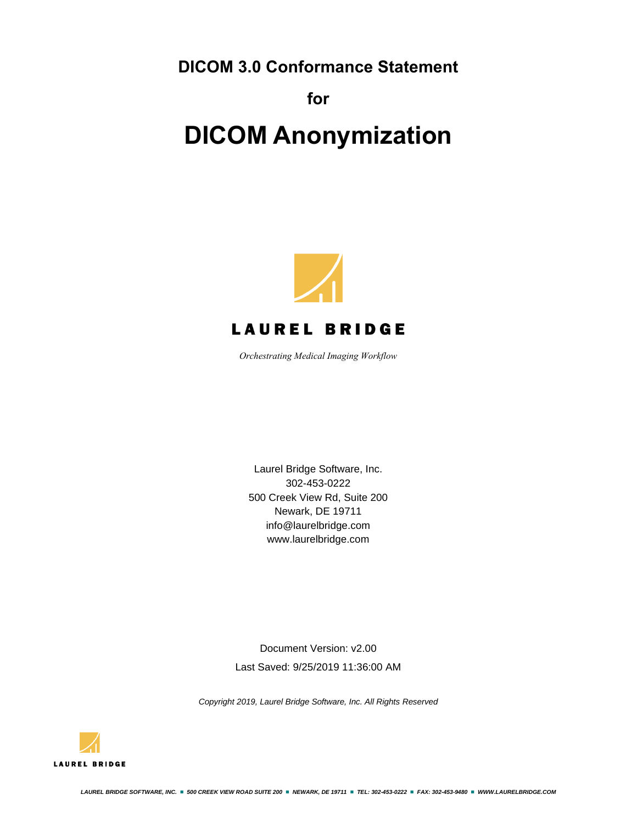**DICOM 3.0 Conformance Statement**

**for DICOM Anonymization**



**LAUREL BRIDGE** 

*Orchestrating Medical Imaging Workflow*

Laurel Bridge Software, Inc. 302-453-0222 500 Creek View Rd, Suite 200 Newark, DE 19711 info@laurelbridge.com www.laurelbridge.com

Document Version: v2.00 Last Saved: 9/25/2019 11:36:00 AM

*Copyright 2019, Laurel Bridge Software, Inc. All Rights Reserved*

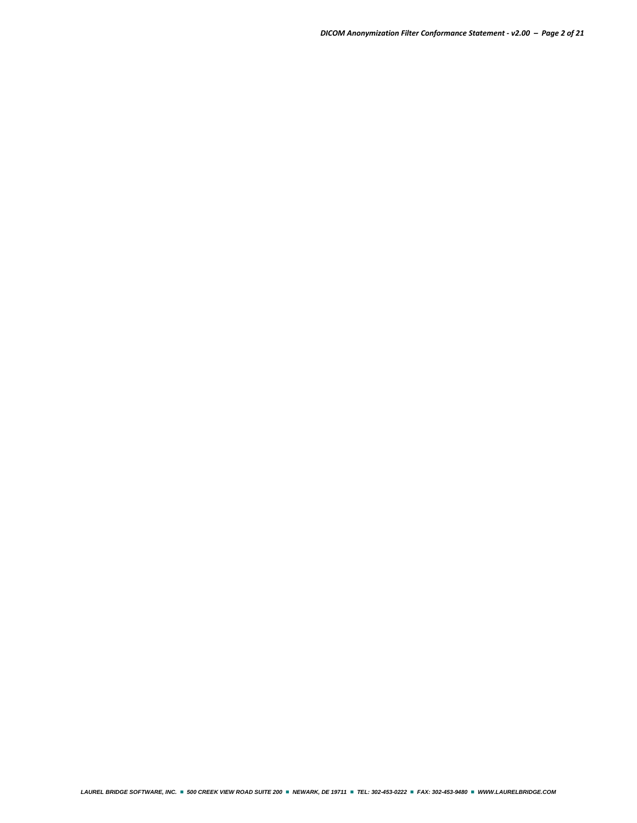*DICOM Anonymization Filter Conformance Statement - v2.00 – Page 2 of 21*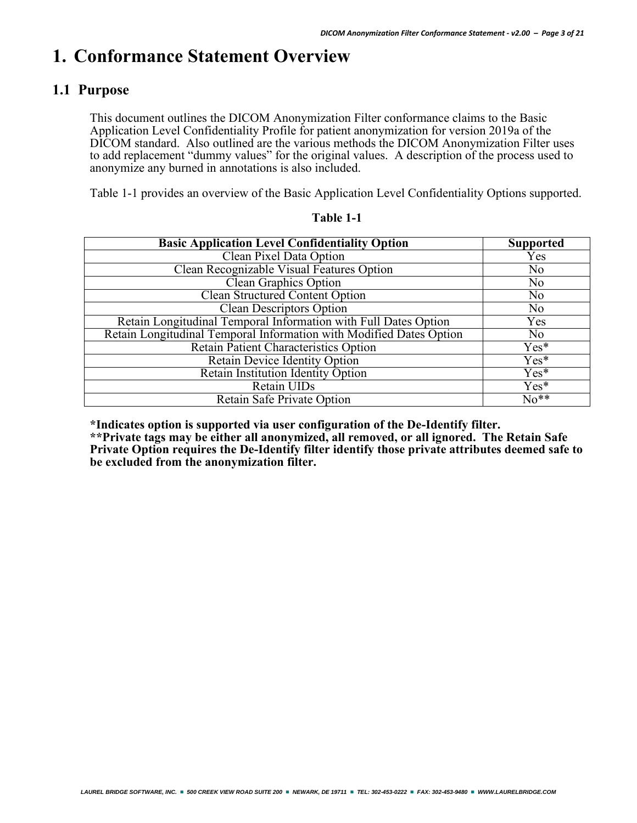# **1. Conformance Statement Overview**

# **1.1 Purpose**

This document outlines the DICOM Anonymization Filter conformance claims to the Basic Application Level Confidentiality Profile for patient anonymization for version 2019a of the DICOM standard. Also outlined are the various methods the DICOM Anonymization Filter uses to add replacement "dummy values" for the original values. A description of the process used to anonymize any burned in annotations is also included.

Table 1-1 provides an overview of the Basic Application Level Confidentiality Options supported.

| <b>Basic Application Level Confidentiality Option</b>               | <b>Supported</b>            |
|---------------------------------------------------------------------|-----------------------------|
| Clean Pixel Data Option                                             | Yes                         |
| Clean Recognizable Visual Features Option                           | N <sub>o</sub>              |
| <b>Clean Graphics Option</b>                                        | N <sub>o</sub>              |
| <b>Clean Structured Content Option</b>                              | N <sub>o</sub>              |
| <b>Clean Descriptors Option</b>                                     | N <sub>o</sub>              |
| Retain Longitudinal Temporal Information with Full Dates Option     | Yes                         |
| Retain Longitudinal Temporal Information with Modified Dates Option | N <sub>o</sub>              |
| Retain Patient Characteristics Option                               | $Yes*$                      |
| <b>Retain Device Identity Option</b>                                | $Yes*$                      |
| Retain Institution Identity Option                                  | $Yes*$                      |
| Retain UIDs                                                         | $Yes*$                      |
| Retain Safe Private Option                                          | $\overline{\text{No}}^{**}$ |

|  |  | ank<br>е |  |  |
|--|--|----------|--|--|
|--|--|----------|--|--|

**\*Indicates option is supported via user configuration of the De-Identify filter.**

**\*\*Private tags may be either all anonymized, all removed, or all ignored. The Retain Safe Private Option requires the De-Identify filter identify those private attributes deemed safe to be excluded from the anonymization filter.**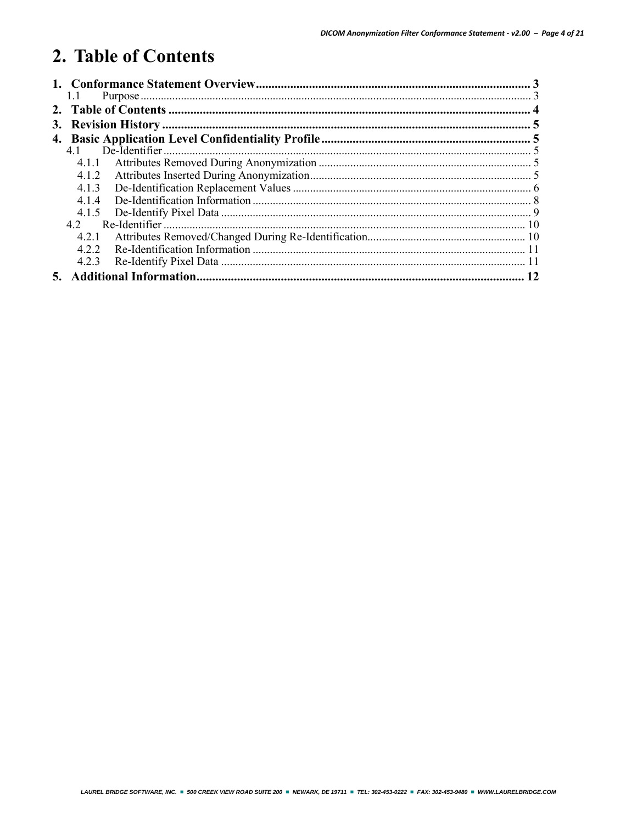# 2. Table of Contents

| 4.1   |  |
|-------|--|
| 4.1.1 |  |
| 4.1.2 |  |
| 4.1.3 |  |
| 4.1.4 |  |
| 4.1.5 |  |
| 4.2   |  |
| 4.2.1 |  |
| 4.2.2 |  |
| 4.2.3 |  |
|       |  |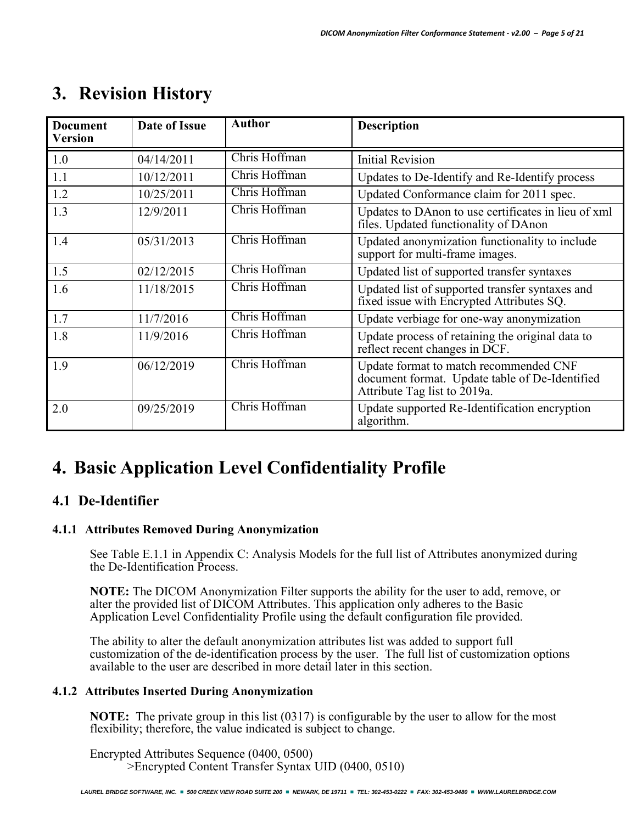| <b>Document</b><br><b>Version</b> | <b>Date of Issue</b> | <b>Author</b> | <b>Description</b>                                                                                                       |
|-----------------------------------|----------------------|---------------|--------------------------------------------------------------------------------------------------------------------------|
| 1.0                               | 04/14/2011           | Chris Hoffman | <b>Initial Revision</b>                                                                                                  |
| 1.1                               | 10/12/2011           | Chris Hoffman | Updates to De-Identify and Re-Identify process                                                                           |
| 1.2                               | 10/25/2011           | Chris Hoffman | Updated Conformance claim for 2011 spec.                                                                                 |
| 1.3                               | 12/9/2011            | Chris Hoffman | Updates to DAnon to use certificates in lieu of xml<br>files. Updated functionality of DAnon                             |
| 1.4                               | 05/31/2013           | Chris Hoffman | Updated anonymization functionality to include<br>support for multi-frame images.                                        |
| 1.5                               | 02/12/2015           | Chris Hoffman | Updated list of supported transfer syntaxes                                                                              |
| 1.6                               | 11/18/2015           | Chris Hoffman | Updated list of supported transfer syntaxes and<br>fixed issue with Encrypted Attributes SQ.                             |
| 1.7                               | 11/7/2016            | Chris Hoffman | Update verbiage for one-way anonymization                                                                                |
| 1.8                               | 11/9/2016            | Chris Hoffman | Update process of retaining the original data to<br>reflect recent changes in DCF.                                       |
| 1.9                               | 06/12/2019           | Chris Hoffman | Update format to match recommended CNF<br>document format. Update table of De-Identified<br>Attribute Tag list to 2019a. |
| 2.0                               | 09/25/2019           | Chris Hoffman | Update supported Re-Identification encryption<br>algorithm.                                                              |

# **3. Revision History**

# **4. Basic Application Level Confidentiality Profile**

# **4.1 De-Identifier**

# **4.1.1 Attributes Removed During Anonymization**

See Table E.1.1 in Appendix C: Analysis Models for the full list of Attributes anonymized during the De-Identification Process.

**NOTE:** The DICOM Anonymization Filter supports the ability for the user to add, remove, or alter the provided list of DICOM Attributes. This application only adheres to the Basic Application Level Confidentiality Profile using the default configuration file provided.

The ability to alter the default anonymization attributes list was added to support full customization of the de-identification process by the user. The full list of customization options available to the user are described in more detail later in this section.

# **4.1.2 Attributes Inserted During Anonymization**

**NOTE:** The private group in this list (0317) is configurable by the user to allow for the most flexibility; therefore, the value indicated is subject to change.

Encrypted Attributes Sequence (0400, 0500) >Encrypted Content Transfer Syntax UID (0400, 0510)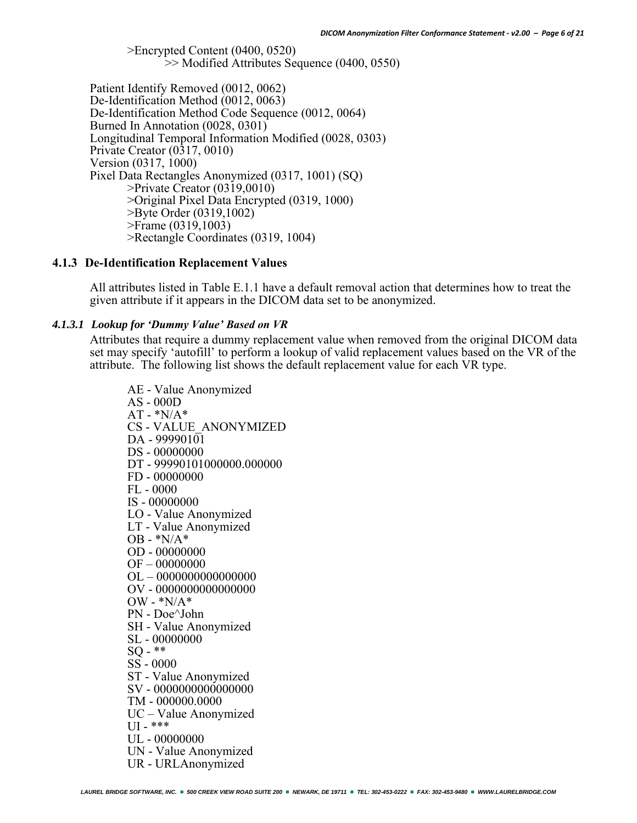>Encrypted Content (0400, 0520) >> Modified Attributes Sequence (0400, 0550)

Patient Identify Removed (0012, 0062) De-Identification Method (0012, 0063) De-Identification Method Code Sequence (0012, 0064) Burned In Annotation (0028, 0301) Longitudinal Temporal Information Modified (0028, 0303) Private Creator (0317, 0010) Version (0317, 1000) Pixel Data Rectangles Anonymized (0317, 1001) (SQ) >Private Creator (0319,0010) >Original Pixel Data Encrypted (0319, 1000) >Byte Order (0319,1002) >Frame (0319,1003) >Rectangle Coordinates (0319, 1004)

### **4.1.3 De-Identification Replacement Values**

All attributes listed in Table E.1.1 have a default removal action that determines how to treat the given attribute if it appears in the DICOM data set to be anonymized.

### *4.1.3.1 Lookup for 'Dummy Value' Based on VR*

Attributes that require a dummy replacement value when removed from the original DICOM data set may specify 'autofill' to perform a lookup of valid replacement values based on the VR of the attribute. The following list shows the default replacement value for each VR type.

AE - Value Anonymized AS - 000D  $AT - N/A*$ CS - VALUE\_ANONYMIZED  $DA - 99990101$ DS - 00000000 DT - 99990101000000.000000 FD - 00000000 FL - 0000 IS - 00000000 LO - Value Anonymized LT - Value Anonymized OB - \*N/A\* OD - 00000000 OF – 00000000 OL – 0000000000000000 OV - 0000000000000000  $OW - *N/A*$ PN - Doe^John SH - Value Anonymized SL - 00000000  $SO - **$ SS - 0000 ST - Value Anonymized SV - 0000000000000000 TM - 000000.0000 UC – Value Anonymized UI - \*\*\* UL - 00000000 UN - Value Anonymized UR - URLAnonymized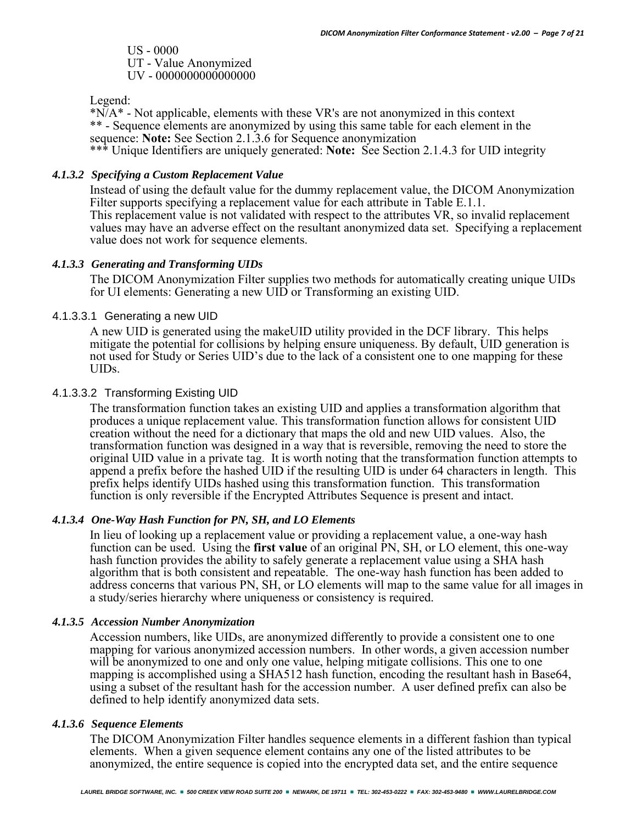US - 0000 UT - Value Anonymized UV - 0000000000000000

Legend:

\*N/A\* - Not applicable, elements with these VR's are not anonymized in this context \*\* - Sequence elements are anonymized by using this same table for each element in the sequence: **Note:** See Section 2.1.3.6 for Sequence anonymization \*\*\* Unique Identifiers are uniquely generated: **Note:** See Section 2.1.4.3 for UID integrity

#### *4.1.3.2 Specifying a Custom Replacement Value*

Instead of using the default value for the dummy replacement value, the DICOM Anonymization Filter supports specifying a replacement value for each attribute in Table E.1.1. This replacement value is not validated with respect to the attributes VR, so invalid replacement values may have an adverse effect on the resultant anonymized data set. Specifying a replacement value does not work for sequence elements.

#### *4.1.3.3 Generating and Transforming UIDs*

The DICOM Anonymization Filter supplies two methods for automatically creating unique UIDs for UI elements: Generating a new UID or Transforming an existing UID.

#### 4.1.3.3.1 Generating a new UID

A new UID is generated using the makeUID utility provided in the DCF library. This helps mitigate the potential for collisions by helping ensure uniqueness. By default, UID generation is not used for Study or Series UID's due to the lack of a consistent one to one mapping for these UIDs.

### 4.1.3.3.2 Transforming Existing UID

The transformation function takes an existing UID and applies a transformation algorithm that produces a unique replacement value. This transformation function allows for consistent UID creation without the need for a dictionary that maps the old and new UID values. Also, the transformation function was designed in a way that is reversible, removing the need to store the original UID value in a private tag. It is worth noting that the transformation function attempts to append a prefix before the hashed UID if the resulting UID is under 64 characters in length. This prefix helps identify UIDs hashed using this transformation function. This transformation function is only reversible if the Encrypted Attributes Sequence is present and intact.

# *4.1.3.4 One-Way Hash Function for PN, SH, and LO Elements*

In lieu of looking up a replacement value or providing a replacement value, a one-way hash function can be used. Using the **first value** of an original PN, SH, or LO element, this one-way hash function provides the ability to safely generate a replacement value using a SHA hash algorithm that is both consistent and repeatable. The one-way hash function has been added to address concerns that various PN, SH, or LO elements will map to the same value for all images in a study/series hierarchy where uniqueness or consistency is required.

#### *4.1.3.5 Accession Number Anonymization*

Accession numbers, like UIDs, are anonymized differently to provide a consistent one to one mapping for various anonymized accession numbers. In other words, a given accession number will be anonymized to one and only one value, helping mitigate collisions. This one to one mapping is accomplished using a SHA512 hash function, encoding the resultant hash in Base64, using a subset of the resultant hash for the accession number. A user defined prefix can also be defined to help identify anonymized data sets.

#### *4.1.3.6 Sequence Elements*

The DICOM Anonymization Filter handles sequence elements in a different fashion than typical elements. When a given sequence element contains any one of the listed attributes to be anonymized, the entire sequence is copied into the encrypted data set, and the entire sequence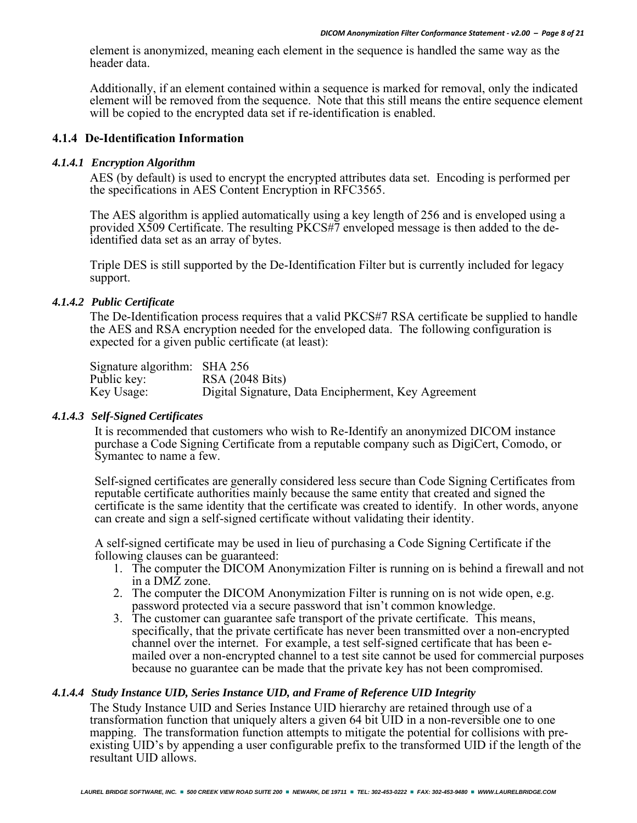element is anonymized, meaning each element in the sequence is handled the same way as the header data.

Additionally, if an element contained within a sequence is marked for removal, only the indicated element will be removed from the sequence. Note that this still means the entire sequence element will be copied to the encrypted data set if re-identification is enabled.

## **4.1.4 De-Identification Information**

#### *4.1.4.1 Encryption Algorithm*

AES (by default) is used to encrypt the encrypted attributes data set. Encoding is performed per the specifications in AES Content Encryption in RFC3565.

The AES algorithm is applied automatically using a key length of 256 and is enveloped using a provided X509 Certificate. The resulting PKCS#7 enveloped message is then added to the deidentified data set as an array of bytes.

Triple DES is still supported by the De-Identification Filter but is currently included for legacy support.

#### <span id="page-7-0"></span>*4.1.4.2 Public Certificate*

The De-Identification process requires that a valid PKCS#7 RSA certificate be supplied to handle the AES and RSA encryption needed for the enveloped data. The following configuration is expected for a given public certificate (at least):

Signature algorithm: SHA 256 Public key: RSA (2048 Bits) Key Usage: Digital Signature, Data Encipherment, Key Agreement

#### *4.1.4.3 Self-Signed Certificates*

It is recommended that customers who wish to Re-Identify an anonymized DICOM instance purchase a Code Signing Certificate from a reputable company such as DigiCert, Comodo, or Symantec to name a few.

Self-signed certificates are generally considered less secure than Code Signing Certificates from reputable certificate authorities mainly because the same entity that created and signed the certificate is the same identity that the certificate was created to identify. In other words, anyone can create and sign a self-signed certificate without validating their identity.

A self-signed certificate may be used in lieu of purchasing a Code Signing Certificate if the following clauses can be guaranteed:

- 1. The computer the DICOM Anonymization Filter is running on is behind a firewall and not in a DMZ zone.
- 2. The computer the DICOM Anonymization Filter is running on is not wide open, e.g. password protected via a secure password that isn't common knowledge.
- 3. The customer can guarantee safe transport of the private certificate. This means, specifically, that the private certificate has never been transmitted over a non-encrypted channel over the internet. For example, a test self-signed certificate that has been emailed over a non-encrypted channel to a test site cannot be used for commercial purposes because no guarantee can be made that the private key has not been compromised.

#### *4.1.4.4 Study Instance UID, Series Instance UID, and Frame of Reference UID Integrity*

The Study Instance UID and Series Instance UID hierarchy are retained through use of a transformation function that uniquely alters a given 64 bit UID in a non-reversible one to one mapping. The transformation function attempts to mitigate the potential for collisions with preexisting UID's by appending a user configurable prefix to the transformed UID if the length of the resultant UID allows.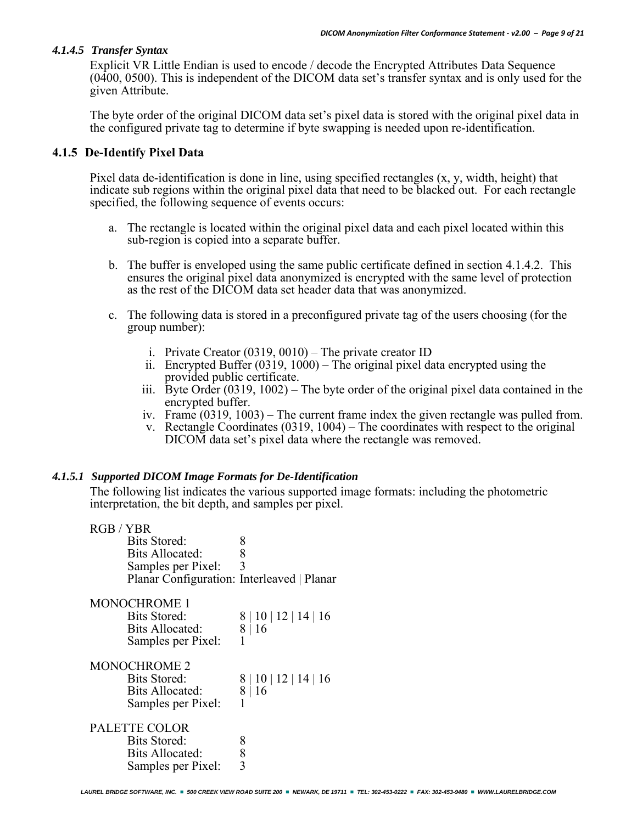# *4.1.4.5 Transfer Syntax*

Explicit VR Little Endian is used to encode / decode the Encrypted Attributes Data Sequence (0400, 0500). This is independent of the DICOM data set's transfer syntax and is only used for the given Attribute.

The byte order of the original DICOM data set's pixel data is stored with the original pixel data in the configured private tag to determine if byte swapping is needed upon re-identification.

# <span id="page-8-0"></span>**4.1.5 De-Identify Pixel Data**

Pixel data de-identification is done in line, using specified rectangles (x, y, width, height) that indicate sub regions within the original pixel data that need to be blacked out. For each rectangle specified, the following sequence of events occurs:

- a. The rectangle is located within the original pixel data and each pixel located within this sub-region is copied into a separate buffer.
- b. The buffer is enveloped using the same public certificate defined in section [4.1.4.2.](#page-7-0) This ensures the original pixel data anonymized is encrypted with the same level of protection as the rest of the DICOM data set header data that was anonymized.
- c. The following data is stored in a preconfigured private tag of the users choosing (for the group number):
	- i. Private Creator (0319, 0010) The private creator ID
	- ii. Encrypted Buffer (0319, 1000) The original pixel data encrypted using the provided public certificate.
	- iii. Byte Order (0319, 1002) The byte order of the original pixel data contained in the encrypted buffer.
	- iv. Frame (0319, 1003) The current frame index the given rectangle was pulled from.
	- v. Rectangle Coordinates (0319, 1004) The coordinates with respect to the original DICOM data set's pixel data where the rectangle was removed.

## *4.1.5.1 Supported DICOM Image Formats for De-Identification*

The following list indicates the various supported image formats: including the photometric interpretation, the bit depth, and samples per pixel.

| 8                                          |
|--------------------------------------------|
| 8                                          |
| $\overline{3}$                             |
| Planar Configuration: Interleaved   Planar |
|                                            |
| 8   10   12   14   16                      |
| 8 16                                       |
|                                            |
|                                            |
| 8   10   12   14   16                      |
| 8 16                                       |
| 1                                          |
|                                            |
| 8                                          |
|                                            |
| 8                                          |
|                                            |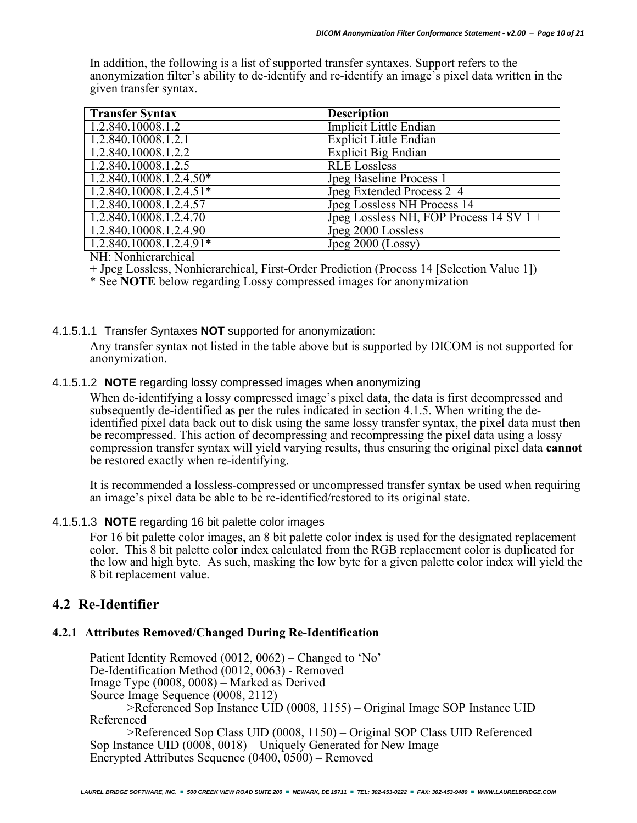In addition, the following is a list of supported transfer syntaxes. Support refers to the anonymization filter's ability to de-identify and re-identify an image's pixel data written in the given transfer syntax.

| <b>Transfer Syntax</b>    | <b>Description</b>                          |
|---------------------------|---------------------------------------------|
| 1.2.840.10008.1.2         | <b>Implicit Little Endian</b>               |
| 1.2.840.10008.1.2.1       | <b>Explicit Little Endian</b>               |
| 1.2.840.10008.1.2.2       | <b>Explicit Big Endian</b>                  |
| 1.2.840.10008.1.2.5       | <b>RLE Lossless</b>                         |
| $1.2.840.10008.1.2.4.50*$ | <b>Jpeg Baseline Process 1</b>              |
| $1.2.840.10008.1.2.4.51*$ | Jpeg Extended Process 2 4                   |
| 1.2.840.10008.1.2.4.57    | Jpeg Lossless NH Process 14                 |
| 1.2.840.10008.1.2.4.70    | Jpeg Lossless NH, FOP Process $14$ SV $1 +$ |
| 1.2.840.10008.1.2.4.90    | Jpeg 2000 Lossless                          |
| 1.2.840.10008.1.2.4.91*   | Jpeg 2000 (Lossy)                           |

NH: Nonhierarchical

+ Jpeg Lossless, Nonhierarchical, First-Order Prediction (Process 14 [Selection Value 1])

\* See **NOTE** below regarding Lossy compressed images for anonymization

## 4.1.5.1.1 Transfer Syntaxes **NOT** supported for anonymization:

Any transfer syntax not listed in the table above but is supported by DICOM is not supported for anonymization.

# 4.1.5.1.2 **NOTE** regarding lossy compressed images when anonymizing

When de-identifying a lossy compressed image's pixel data, the data is first decompressed and subsequently de-identified as per the rules indicated in section [4.1.5.](#page-8-0) When writing the deidentified pixel data back out to disk using the same lossy transfer syntax, the pixel data must then be recompressed. This action of decompressing and recompressing the pixel data using a lossy compression transfer syntax will yield varying results, thus ensuring the original pixel data **cannot** be restored exactly when re-identifying.

It is recommended a lossless-compressed or uncompressed transfer syntax be used when requiring an image's pixel data be able to be re-identified/restored to its original state.

## 4.1.5.1.3 **NOTE** regarding 16 bit palette color images

For 16 bit palette color images, an 8 bit palette color index is used for the designated replacement color. This 8 bit palette color index calculated from the RGB replacement color is duplicated for the low and high byte. As such, masking the low byte for a given palette color index will yield the 8 bit replacement value.

# **4.2 Re-Identifier**

# **4.2.1 Attributes Removed/Changed During Re-Identification**

Patient Identity Removed (0012, 0062) – Changed to 'No' De-Identification Method (0012, 0063) - Removed Image Type (0008, 0008) – Marked as Derived Source Image Sequence (0008, 2112) >Referenced Sop Instance UID (0008, 1155) – Original Image SOP Instance UID Referenced

>Referenced Sop Class UID (0008, 1150) – Original SOP Class UID Referenced Sop Instance UID (0008, 0018) – Uniquely Generated for New Image Encrypted Attributes Sequence (0400, 0500) – Removed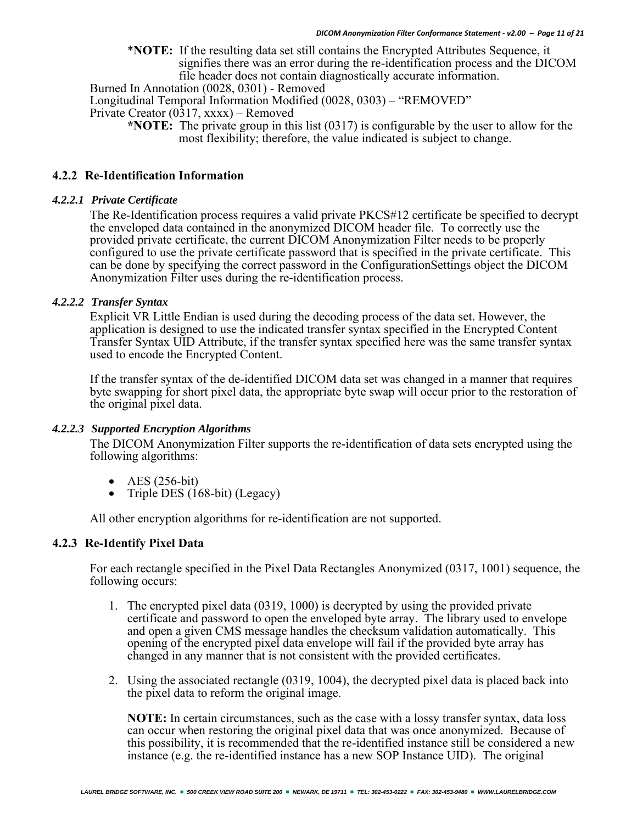\***NOTE:** If the resulting data set still contains the Encrypted Attributes Sequence, it signifies there was an error during the re-identification process and the DICOM file header does not contain diagnostically accurate information.

Burned In Annotation (0028, 0301) - Removed

Longitudinal Temporal Information Modified (0028, 0303) – "REMOVED"

Private Creator (0317, xxxx) – Removed

**\*NOTE:** The private group in this list (0317) is configurable by the user to allow for the most flexibility; therefore, the value indicated is subject to change.

### **4.2.2 Re-Identification Information**

#### *4.2.2.1 Private Certificate*

The Re-Identification process requires a valid private PKCS#12 certificate be specified to decrypt the enveloped data contained in the anonymized DICOM header file. To correctly use the provided private certificate, the current DICOM Anonymization Filter needs to be properly configured to use the private certificate password that is specified in the private certificate. This can be done by specifying the correct password in the ConfigurationSettings object the DICOM Anonymization Filter uses during the re-identification process.

#### *4.2.2.2 Transfer Syntax*

Explicit VR Little Endian is used during the decoding process of the data set. However, the application is designed to use the indicated transfer syntax specified in the Encrypted Content Transfer Syntax UID Attribute, if the transfer syntax specified here was the same transfer syntax used to encode the Encrypted Content.

If the transfer syntax of the de-identified DICOM data set was changed in a manner that requires byte swapping for short pixel data, the appropriate byte swap will occur prior to the restoration of the original pixel data.

#### *4.2.2.3 Supported Encryption Algorithms*

The DICOM Anonymization Filter supports the re-identification of data sets encrypted using the following algorithms:

- AES  $(256-bit)$
- Triple DES (168-bit) (Legacy)

All other encryption algorithms for re-identification are not supported.

## **4.2.3 Re-Identify Pixel Data**

For each rectangle specified in the Pixel Data Rectangles Anonymized (0317, 1001) sequence, the following occurs:

- 1. The encrypted pixel data (0319, 1000) is decrypted by using the provided private certificate and password to open the enveloped byte array. The library used to envelope and open a given CMS message handles the checksum validation automatically. This opening of the encrypted pixel data envelope will fail if the provided byte array has changed in any manner that is not consistent with the provided certificates.
- 2. Using the associated rectangle (0319, 1004), the decrypted pixel data is placed back into the pixel data to reform the original image.

**NOTE:** In certain circumstances, such as the case with a lossy transfer syntax, data loss can occur when restoring the original pixel data that was once anonymized. Because of this possibility, it is recommended that the re-identified instance still be considered a new instance (e.g. the re-identified instance has a new SOP Instance UID). The original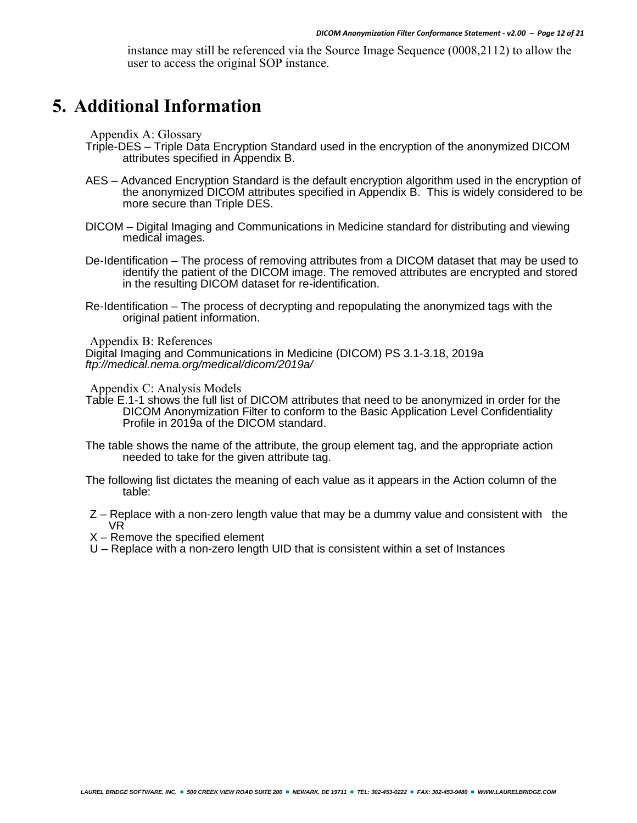instance may still be referenced via the Source Image Sequence (0008,2112) to allow the user to access the original SOP instance.

# **5. Additional Information**

Appendix A: Glossary

- Triple-DES Triple Data Encryption Standard used in the encryption of the anonymized DICOM attributes specified in Appendix B.
- AES Advanced Encryption Standard is the default encryption algorithm used in the encryption of the anonymized DICOM attributes specified in Appendix B. This is widely considered to be more secure than Triple DES.
- DICOM Digital Imaging and Communications in Medicine standard for distributing and viewing medical images.
- De-Identification The process of removing attributes from a DICOM dataset that may be used to identify the patient of the DICOM image. The removed attributes are encrypted and stored in the resulting DICOM dataset for re-identification.
- Re-Identification The process of decrypting and repopulating the anonymized tags with the original patient information.

Appendix B: References

Digital Imaging and Communications in Medicine (DICOM) PS 3.1-3.18, 2019a *ftp://medical.nema.org/medical/dicom/2019a/*

Appendix C: Analysis Models

- Table E.1-1 shows the full list of DICOM attributes that need to be anonymized in order for the DICOM Anonymization Filter to conform to the Basic Application Level Confidentiality Profile in 2019a of the DICOM standard.
- The table shows the name of the attribute, the group element tag, and the appropriate action needed to take for the given attribute tag.
- The following list dictates the meaning of each value as it appears in the Action column of the table:
- Z Replace with a non-zero length value that may be a dummy value and consistent with the VR
- X Remove the specified element
- U Replace with a non-zero length UID that is consistent within a set of Instances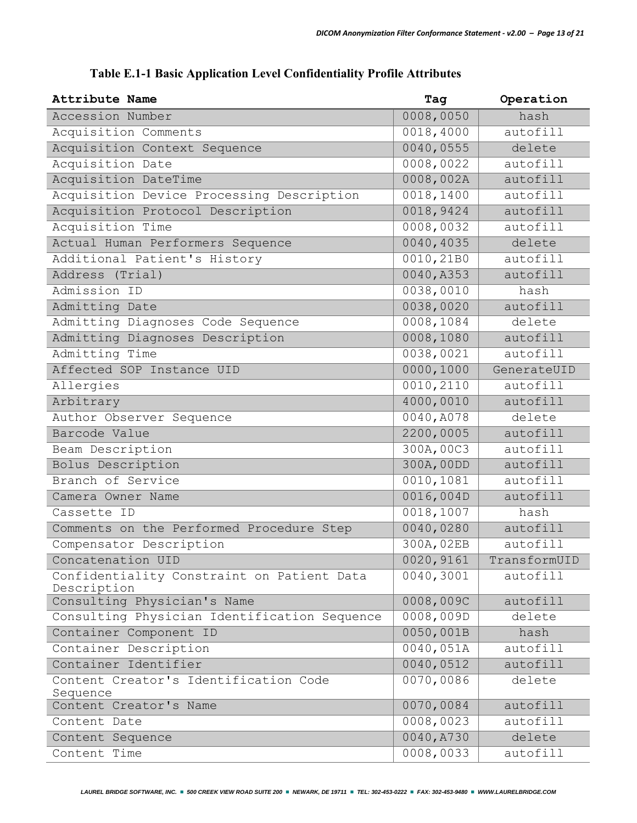| Attribute Name                                            | Tag        | Operation    |
|-----------------------------------------------------------|------------|--------------|
| Accession Number                                          | 0008,0050  | hash         |
| Acquisition Comments                                      | 0018,4000  | autofill     |
| Acquisition Context Sequence                              | 0040,0555  | delete       |
| Acquisition Date                                          | 0008,0022  | autofill     |
| Acquisition DateTime                                      | 0008,002A  | autofill     |
| Acquisition Device Processing Description                 | 0018,1400  | autofill     |
| Acquisition Protocol Description                          | 0018,9424  | autofill     |
| Acquisition Time                                          | 0008, 0032 | autofill     |
| Actual Human Performers Sequence                          | 0040,4035  | delete       |
| Additional Patient's History                              | 0010,21B0  | autofill     |
| Address (Trial)                                           | 0040, A353 | autofill     |
| Admission ID                                              | 0038,0010  | hash         |
| Admitting Date                                            | 0038,0020  | autofill     |
| Admitting Diagnoses Code Sequence                         | 0008, 1084 | delete       |
| Admitting Diagnoses Description                           | 0008,1080  | autofill     |
| Admitting Time                                            | 0038,0021  | autofill     |
| Affected SOP Instance UID                                 | 0000,1000  | GenerateUID  |
| Allergies                                                 | 0010,2110  | autofill     |
| Arbitrary                                                 | 4000,0010  | autofill     |
| Author Observer Sequence                                  | 0040, A078 | delete       |
| Barcode Value                                             | 2200,0005  | autofill     |
| Beam Description                                          | 300A,00C3  | autofill     |
| Bolus Description                                         | 300A,00DD  | autofill     |
| Branch of Service                                         | 0010,1081  | autofill     |
| Camera Owner Name                                         | 0016,004D  | autofill     |
| Cassette ID                                               | 0018,1007  | hash         |
| Comments on the Performed Procedure Step                  | 0040,0280  | autofill     |
| Compensator Description                                   | 300A, 02EB | autofi11     |
| Concatenation UID                                         | 0020,9161  | TransformUID |
| Confidentiality Constraint on Patient Data<br>Description | 0040,3001  | autofill     |
| Consulting Physician's Name                               | 0008,009C  | autofill     |
| Consulting Physician Identification Sequence              | 0008,009D  | delete       |
| Container Component ID                                    | 0050,001B  | hash         |
| Container Description                                     | 0040,051A  | autofill     |
| Container Identifier                                      | 0040, 0512 | autofill     |
| Content Creator's Identification Code<br>Sequence         | 0070,0086  | delete       |
| Content Creator's Name                                    | 0070,0084  | autofill     |
| Content Date                                              | 0008,0023  | autofill     |
| Content Sequence                                          | 0040, A730 | delete       |
| Content Time                                              | 0008,0033  | autofill     |

**Table E.1-1 Basic Application Level Confidentiality Profile Attributes**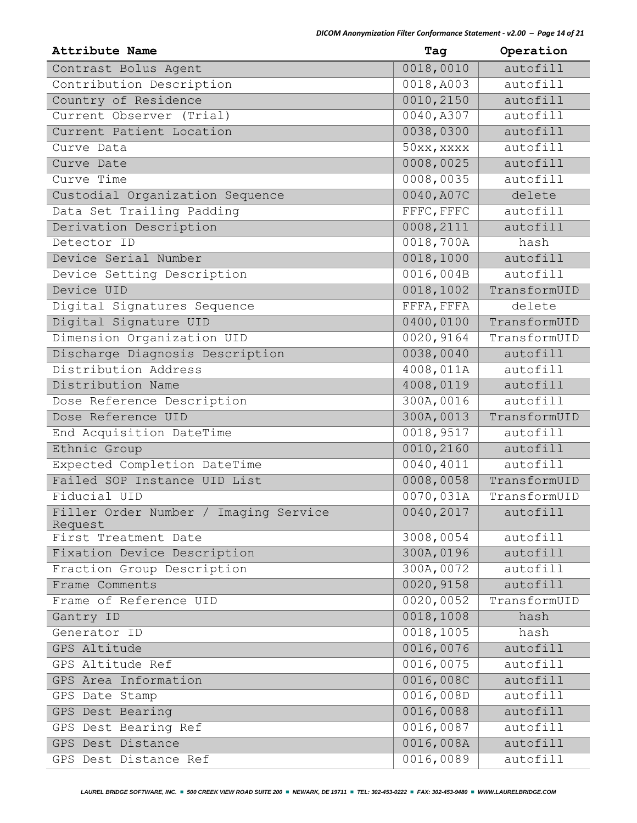| Attribute Name                                   | Tag                    | Operation    |
|--------------------------------------------------|------------------------|--------------|
| Contrast Bolus Agent                             | 0018,0010              | autofill     |
| Contribution Description                         | 0018, A003             | autofill     |
| Country of Residence                             | 0010,2150              | autofill     |
| Current Observer (Trial)                         | 0040, A307             | autofill     |
| Current Patient Location                         | 0038,0300              | autofill     |
| Curve Data                                       | 50xx, xxxx             | autofill     |
| Curve Date                                       | 0008,0025              | autofill     |
| Curve Time                                       | 0008,0035              | autofill     |
| Custodial Organization Sequence                  | 0040, A07C             | delete       |
| Data Set Trailing Padding                        | FFFC, FFFC             | autofill     |
| Derivation Description                           | 0008,2111              | autofill     |
| Detector ID                                      | $\overline{0018,70}0A$ | hash         |
| Device Serial Number                             | 0018, 1000             | autofill     |
| Device Setting Description                       | 0016,004B              | autofill     |
| Device UID                                       | 0018,1002              | TransformUID |
| Digital Signatures Sequence                      | FFFA, FFFA             | delete       |
| Digital Signature UID                            | 0400, 0100             | TransformUID |
| Dimension Organization UID                       | 0020, 9164             | TransformUID |
| Discharge Diagnosis Description                  | 0038,0040              | autofill     |
| Distribution Address                             | 4008,011A              | autofill     |
| Distribution Name                                | 4008,0119              | autofill     |
| Dose Reference Description                       | 300A,0016              | autofill     |
| Dose Reference UID                               | 300A,0013              | TransformUID |
| End Acquisition DateTime                         | 0018,9517              | autofill     |
| Ethnic Group                                     | 0010,2160              | autofill     |
| Expected Completion DateTime                     | 0040,4011              | autofill     |
| Failed SOP Instance UID List                     | 0008,0058              | TransformUID |
| Fiducial UID                                     | 0070,031A              | TransformUID |
| Filler Order Number / Imaging Service<br>Request | 0040,2017              | autofill     |
| First Treatment Date                             | 3008,0054              | autofill     |
| Fixation Device Description                      | 300A, 0196             | autofill     |
| Fraction Group Description                       | 300A,0072              | autofill     |
| Frame Comments                                   | 0020,9158              | autofill     |
| Frame of Reference UID                           | 0020,0052              | TransformUID |
| Gantry ID                                        | 0018,1008              | hash         |
| Generator ID                                     | 0018,1005              | hash         |
| GPS Altitude                                     | 0016,0076              | autofill     |
| GPS Altitude Ref                                 | 0016,0075              | autofill     |
| GPS Area Information                             | 0016,008C              | autofill     |
| GPS Date Stamp                                   | 0016,008D              | autofill     |
| GPS Dest Bearing                                 | 0016,0088              | autofill     |
| GPS Dest Bearing Ref                             | 0016,0087              | autofill     |
| GPS Dest Distance                                | 0016,008A              | autofill     |
| GPS Dest Distance Ref                            | 0016,0089              | autofill     |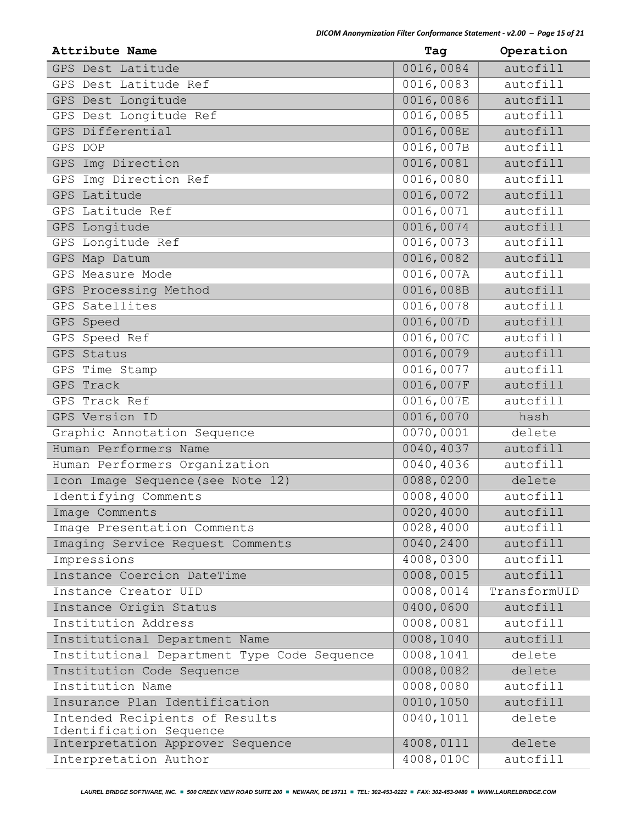| <b>Attribute Name</b>                       | Tag        | Operation    |
|---------------------------------------------|------------|--------------|
| GPS Dest Latitude                           | 0016,0084  | autofill     |
| GPS Dest Latitude Ref                       | 0016,0083  | autofill     |
| GPS Dest Longitude                          | 0016,0086  | autofill     |
| GPS Dest Longitude Ref                      | 0016,0085  | autofill     |
| GPS Differential                            | 0016,008E  | autofill     |
| GPS DOP                                     | 0016,007B  | autofill     |
| GPS Imq Direction                           | 0016,0081  | autofill     |
| Imq Direction Ref<br>GPS                    | 0016,0080  | autofill     |
| GPS Latitude                                | 0016,0072  | autofill     |
| GPS Latitude Ref                            | 0016,0071  | autofill     |
| GPS Longitude                               | 0016,0074  | autofill     |
| GPS Longitude Ref                           | 0016,0073  | autofill     |
| GPS Map Datum                               | 0016,0082  | autofill     |
| GPS Measure Mode                            | 0016,007A  | autofill     |
| GPS Processing Method                       | 0016,008B  | autofill     |
| GPS Satellites                              | 0016,0078  | autofill     |
| GPS Speed                                   | 0016,007D  | autofill     |
| GPS Speed Ref                               | 0016,007C  | autofill     |
| GPS Status                                  | 0016,0079  | autofill     |
| GPS Time Stamp                              | 0016,0077  | autofill     |
| GPS Track                                   | 0016,007F  | autofill     |
| GPS Track Ref                               | 0016,007E  | autofill     |
| GPS Version ID                              | 0016,0070  | hash         |
| Graphic Annotation Sequence                 | 0070,0001  | delete       |
| Human Performers Name                       | 0040,4037  | autofill     |
| Human Performers Organization               | 0040,4036  | autofill     |
| Icon Image Sequence (see Note 12)           | 0088,0200  | delete       |
| Identifying Comments                        | 0008,4000  | autofill     |
| Image Comments                              | 0020, 4000 | autofill     |
| Image Presentation Comments                 | 0028,4000  | autofill     |
| Imaging Service Request Comments            | 0040,2400  | autofill     |
| Impressions                                 | 4008,0300  | autofill     |
| Instance Coercion DateTime                  | 0008,0015  | autofill     |
| Instance Creator UID                        | 0008,0014  | TransformUID |
| Instance Origin Status                      | 0400,0600  | autofill     |
| Institution Address                         | 0008,0081  | autofill     |
| Institutional Department Name               | 0008,1040  | autofill     |
| Institutional Department Type Code Sequence | 0008,1041  | delete       |
| Institution Code Sequence                   | 0008,0082  | delete       |
| Institution Name                            | 0008,0080  | autofill     |
| Insurance Plan Identification               | 0010,1050  | autofill     |
| Intended Recipients of Results              | 0040,1011  | delete       |
| Identification Sequence                     |            |              |
| Interpretation Approver Sequence            | 4008,0111  | delete       |
| Interpretation Author                       | 4008,010C  | autofill     |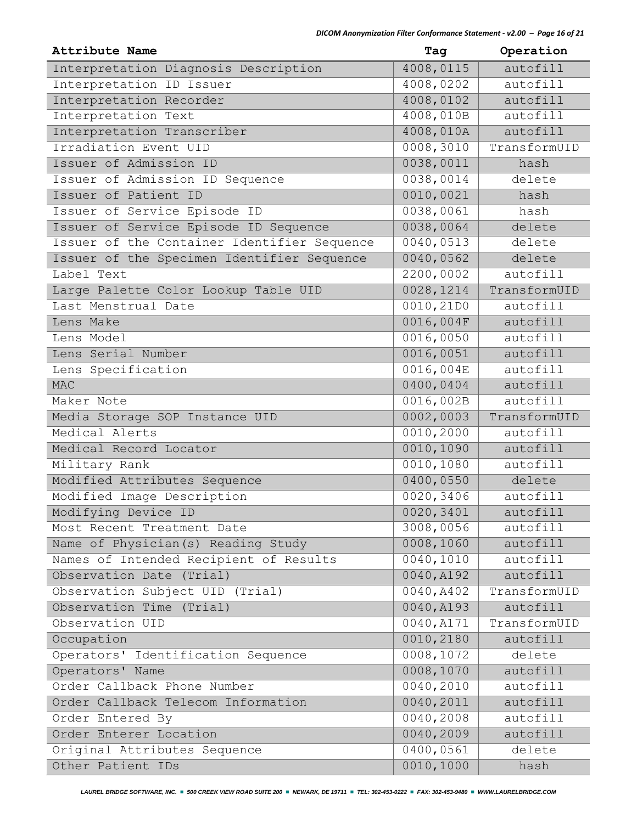| Attribute Name                              | Tag        | Operation    |
|---------------------------------------------|------------|--------------|
| Interpretation Diagnosis Description        | 4008,0115  | autofill     |
| Interpretation ID Issuer                    | 4008,0202  | autofill     |
| Interpretation Recorder                     | 4008,0102  | autofill     |
| Interpretation Text                         | 4008,010B  | autofill     |
| Interpretation Transcriber                  | 4008,010A  | autofill     |
| Irradiation Event UID                       | 0008,3010  | TransformUID |
| Issuer of Admission ID                      | 0038,0011  | hash         |
| Issuer of Admission ID Sequence             | 0038, 0014 | delete       |
| Issuer of Patient ID                        | 0010,0021  | hash         |
| Issuer of Service Episode ID                | 0038,0061  | hash         |
| Issuer of Service Episode ID Sequence       | 0038,0064  | delete       |
| Issuer of the Container Identifier Sequence | 0040,0513  | delete       |
| Issuer of the Specimen Identifier Sequence  | 0040, 0562 | delete       |
| Label Text                                  | 2200,0002  | autofill     |
| Large Palette Color Lookup Table UID        | 0028,1214  | TransformUID |
| Last Menstrual Date                         | 0010,21D0  | autofill     |
| Lens Make                                   | 0016,004F  | autofill     |
| Lens Model                                  | 0016,0050  | autofill     |
| Lens Serial Number                          | 0016,0051  | autofill     |
| Lens Specification                          | 0016,004E  | autofill     |
| <b>MAC</b>                                  | 0400,0404  | autofill     |
| Maker Note                                  | 0016,002B  | autofill     |
| Media Storage SOP Instance UID              | 0002,0003  | TransformUID |
| Medical Alerts                              | 0010,2000  | autofill     |
| Medical Record Locator                      | 0010,1090  | autofill     |
| Military Rank                               | 0010,1080  | autofill     |
| Modified Attributes Sequence                | 0400,0550  | delete       |
| Modified Image Description                  | 0020, 3406 | autofill     |
| Modifying Device ID                         | 0020,3401  | autofill     |
| Most Recent Treatment Date                  | 3008,0056  | autofill     |
| Name of Physician (s) Reading Study         | 0008,1060  | autofill     |
| Names of Intended Recipient of Results      | 0040,1010  | autofill     |
| Observation Date (Trial)                    | 0040, A192 | autofill     |
| Observation Subject UID (Trial)             | 0040, A402 | TransformUID |
| Observation Time (Trial)                    | 0040, A193 | autofill     |
| Observation UID                             | 0040, A171 | TransformUID |
| Occupation                                  | 0010,2180  | autofill     |
| Operators' Identification Sequence          | 0008,1072  | delete       |
| Operators' Name                             | 0008,1070  | autofill     |
| Order Callback Phone Number                 | 0040,2010  | autofill     |
| Order Callback Telecom Information          | 0040,2011  | autofill     |
| Order Entered By                            | 0040,2008  | autofill     |
| Order Enterer Location                      | 0040,2009  | autofill     |
| Original Attributes Sequence                | 0400,0561  | delete       |
| Other Patient IDs                           | 0010,1000  | hash         |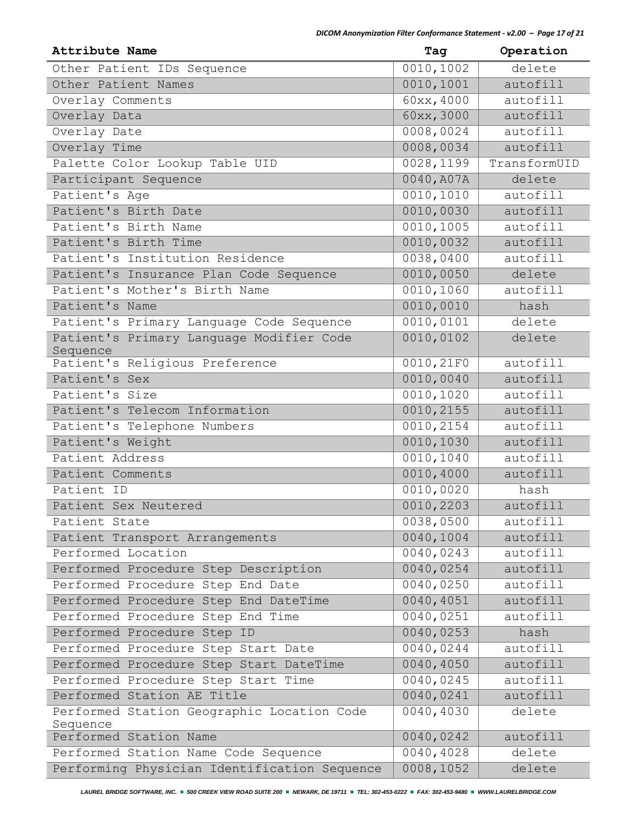| Attribute Name                                         | Tag        | Operation    |
|--------------------------------------------------------|------------|--------------|
| Other Patient IDs Sequence                             | 0010,1002  | delete       |
| Other Patient Names                                    | 0010,1001  | autofill     |
| Overlay Comments                                       | 60xx, 4000 | autofill     |
| Overlay Data                                           | 60xx, 3000 | autofill     |
| Overlay Date                                           | 0008,0024  | autofill     |
| Overlay Time                                           | 0008,0034  | autofill     |
| Palette Color Lookup Table UID                         | 0028,1199  | TransformUID |
| Participant Sequence                                   | 0040, A07A | delete       |
| Patient's Age                                          | 0010, 1010 | autofill     |
| Patient's Birth Date                                   | 0010,0030  | autofill     |
| Patient's Birth Name                                   | 0010, 1005 | autofill     |
| Patient's Birth Time                                   | 0010,0032  | autofill     |
| Patient's Institution Residence                        | 0038,0400  | autofill     |
| Patient's Insurance Plan Code Sequence                 | 0010,0050  | delete       |
| Patient's Mother's Birth Name                          | 0010,1060  | autofill     |
| Patient's Name                                         | 0010,0010  | hash         |
| Patient's Primary Language Code Sequence               | 0010,0101  | delete       |
| Patient's Primary Language Modifier Code<br>Sequence   | 0010,0102  | delete       |
| Patient's Religious Preference                         | 0010,21F0  | autofill     |
| Patient's Sex                                          | 0010,0040  | autofill     |
| Patient's Size                                         | 0010,1020  | autofill     |
| Patient's Telecom Information                          | 0010,2155  | autofill     |
| Patient's Telephone Numbers                            | 0010,2154  | autofill     |
| Patient's Weight                                       | 0010,1030  | autofill     |
| Patient Address                                        | 0010,1040  | autofill     |
| Patient Comments                                       | 0010,4000  | autofill     |
| Patient ID                                             | 0010,0020  | hash         |
| Patient Sex Neutered                                   | 0010,2203  | autofill     |
| Patient State                                          | 0038,0500  | autofill     |
| Patient Transport Arrangements                         | 0040, 1004 | autofill     |
| Performed Location                                     | 0040,0243  | autofill     |
| Performed Procedure Step Description                   | 0040,0254  | autofill     |
| Performed Procedure Step End Date                      | 0040,0250  | autofill     |
| Performed Procedure Step End DateTime                  | 0040,4051  | autofill     |
| Performed Procedure Step End Time                      | 0040,0251  | autofill     |
| Performed Procedure Step ID                            | 0040,0253  | hash         |
| Performed Procedure Step Start Date                    | 0040,0244  | autofill     |
| Performed Procedure Step Start DateTime                | 0040,4050  | autofill     |
| Performed Procedure Step Start Time                    | 0040,0245  | autofill     |
| Performed Station AE Title                             | 0040,0241  | autofill     |
| Performed Station Geographic Location Code<br>Sequence | 0040,4030  | delete       |
| Performed Station Name                                 | 0040,0242  | autofill     |
| Performed Station Name Code Sequence                   | 0040,4028  | delete       |
| Performing Physician Identification Sequence           | 0008,1052  | delete       |

*LAUREL BRIDGE SOFTWARE, INC. ■ 500 CREEK VIEW ROAD SUITE 200 ■ NEWARK, DE 19711 ■ TEL: 302-453-0222 ■ FAX: 302-453-9480 ■ WWW.LAURELBRIDGE.COM*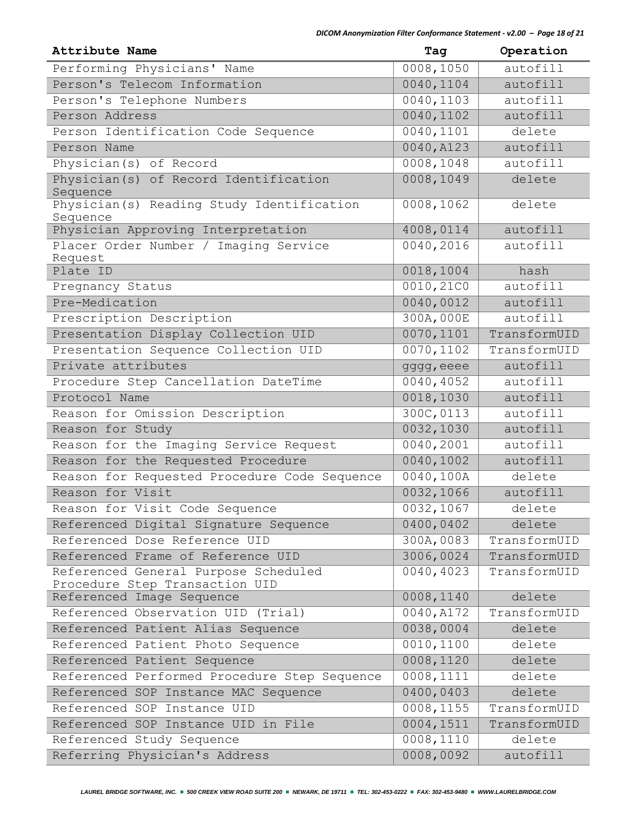| Attribute Name                                                         | Tag        | Operation    |
|------------------------------------------------------------------------|------------|--------------|
| Performing Physicians' Name                                            | 0008,1050  | autofill     |
| Person's Telecom Information                                           | 0040,1104  | autofill     |
| Person's Telephone Numbers                                             | 0040, 1103 | autofill     |
| Person Address                                                         | 0040,1102  | autofill     |
| Person Identification Code Sequence                                    | 0040,1101  | delete       |
| Person Name                                                            | 0040, A123 | autofill     |
| Physician(s) of Record                                                 | 0008,1048  | autofill     |
| Physician(s) of Record Identification<br>Sequence                      | 0008,1049  | delete       |
| Physician(s) Reading Study Identification<br>Sequence                  | 0008, 1062 | delete       |
| Physician Approving Interpretation                                     | 4008,0114  | autofill     |
| Placer Order Number / Imaging Service<br>Request                       | 0040,2016  | autofill     |
| Plate ID                                                               | 0018,1004  | hash         |
| Pregnancy Status                                                       | 0010,21C0  | autofill     |
| Pre-Medication                                                         | 0040,0012  | autofill     |
| Prescription Description                                               | 300A,000E  | autofi11     |
| Presentation Display Collection UID                                    | 0070,1101  | TransformUID |
| Presentation Sequence Collection UID                                   | 0070,1102  | TransformUID |
| Private attributes                                                     | gggg, eeee | autofill     |
| Procedure Step Cancellation DateTime                                   | 0040,4052  | autofill     |
| Protocol Name                                                          | 0018,1030  | autofill     |
| Reason for Omission Description                                        | 300C, 0113 | autofill     |
| Reason for Study                                                       | 0032,1030  | autofill     |
| Reason for the Imaging Service Request                                 | 0040,2001  | autofill     |
| Reason for the Requested Procedure                                     | 0040,1002  | autofill     |
| Reason for Requested Procedure Code Sequence                           | 0040,100A  | delete       |
| Reason for Visit                                                       | 0032,1066  | autofill     |
| Reason for Visit Code Sequence                                         | 0032,1067  | delete       |
| Referenced Digital Signature Sequence                                  | 0400,0402  | delete       |
| Referenced Dose Reference UID                                          | 300A,0083  | TransformUID |
| Referenced Frame of Reference UID                                      | 3006,0024  | TransformUID |
| Referenced General Purpose Scheduled<br>Procedure Step Transaction UID | 0040,4023  | TransformUID |
| Referenced Image Sequence                                              | 0008,1140  | delete       |
| Referenced Observation UID (Trial)                                     | 0040, A172 | TransformUID |
| Referenced Patient Alias Sequence                                      | 0038,0004  | delete       |
| Referenced Patient Photo Sequence                                      | 0010,1100  | delete       |
| Referenced Patient Sequence                                            | 0008, 1120 | delete       |
| Referenced Performed Procedure Step Sequence                           | 0008, 1111 | delete       |
| Referenced SOP Instance MAC Sequence                                   | 0400,0403  | delete       |
| Referenced SOP Instance UID                                            | 0008, 1155 | TransformUID |
| Referenced SOP Instance UID in File                                    | 0004, 1511 | TransformUID |
| Referenced Study Sequence                                              | 0008,1110  | delete       |
| Referring Physician's Address                                          | 0008,0092  | autofill     |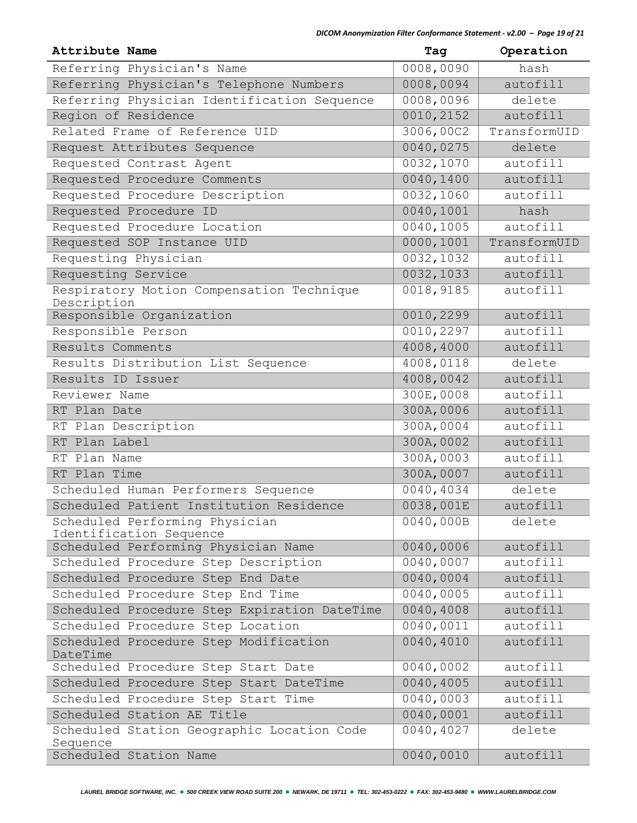| Attribute Name                                  | Tag        | Operation    |
|-------------------------------------------------|------------|--------------|
| Referring Physician's Name                      | 0008,0090  | hash         |
| Referring Physician's Telephone Numbers         | 0008,0094  | autofill     |
| Referring Physician Identification Sequence     | 0008,0096  | delete       |
| Region of Residence                             | 0010,2152  | autofill     |
| Related Frame of Reference UID                  | 3006,00C2  | TransformUID |
| Request Attributes Sequence                     | 0040,0275  | delete       |
| Requested Contrast Agent                        | 0032,1070  | autofill     |
| Requested Procedure Comments                    | 0040,1400  | autofill     |
| Requested Procedure Description                 | 0032,1060  | autofill     |
| Requested Procedure ID                          | 0040,1001  | hash         |
| Requested Procedure Location                    | 0040, 1005 | autofill     |
| Requested SOP Instance UID                      | 0000, 1001 | TransformUID |
| Requesting Physician                            | 0032,1032  | autofill     |
| Requesting Service                              | 0032,1033  | autofill     |
| Respiratory Motion Compensation Technique       | 0018,9185  | autofill     |
| Description<br>Responsible Organization         | 0010,2299  | autofill     |
|                                                 | 0010,2297  | autofill     |
| Responsible Person<br>Results Comments          | 4008,4000  | autofill     |
| Results Distribution List Sequence              | 4008,0118  | delete       |
| Results ID Issuer                               | 4008,0042  | autofill     |
| Reviewer Name                                   | 300E,0008  | autofill     |
| RT Plan Date                                    | 300A,0006  | autofill     |
|                                                 | 300A,0004  | autofill     |
| RT Plan Description<br>RT Plan Label            | 300A,0002  | autofill     |
| RT Plan Name                                    | 300A,0003  | autofill     |
| RT Plan Time                                    | 300A,0007  | autofill     |
| Scheduled Human Performers Sequence             | 0040,4034  | delete       |
| Scheduled Patient Institution Residence         | 0038,001E  | autofill     |
| Scheduled Performing Physician                  | 0040,000B  | delete       |
| Identification Sequence                         |            |              |
| Scheduled Performing Physician Name             | 0040,0006  | autofill     |
| Scheduled Procedure Step Description            | 0040,0007  | autofill     |
| Scheduled Procedure Step End Date               | 0040,0004  | autofill     |
| Scheduled Procedure Step End Time               | 0040,0005  | autofill     |
| Scheduled Procedure Step Expiration DateTime    | 0040,4008  | autofill     |
| Scheduled Procedure Step Location               | 0040,0011  | autofill     |
| Scheduled Procedure Step Modification           | 0040,4010  | autofill     |
| DateTime<br>Scheduled Procedure Step Start Date | 0040,0002  | autofill     |
| Scheduled Procedure Step Start DateTime         | 0040,4005  | autofill     |
| Scheduled Procedure Step Start Time             | 0040,0003  | autofill     |
| Scheduled Station AE Title                      | 0040,0001  | autofill     |
| Scheduled Station Geographic Location Code      | 0040,4027  | delete       |
| Sequence                                        |            |              |
| Scheduled Station Name                          | 0040,0010  | autofill     |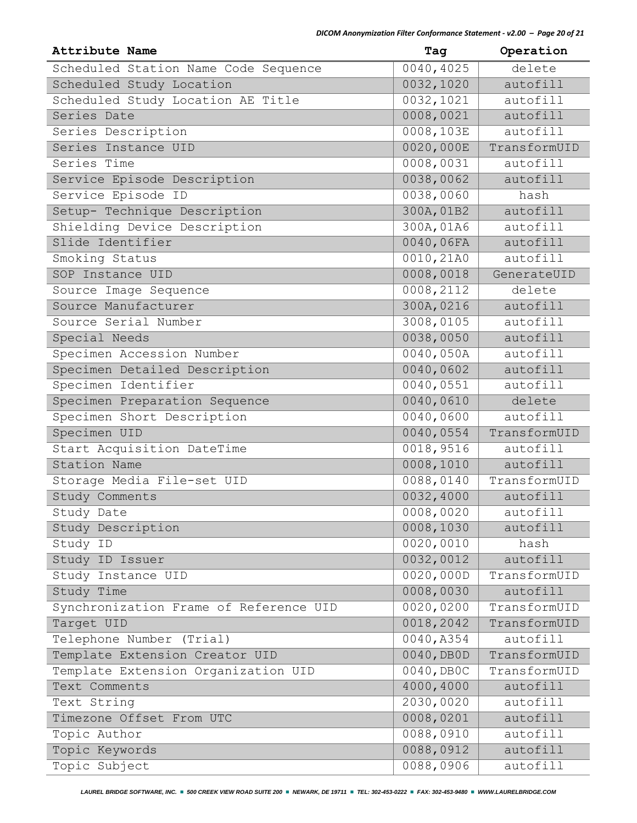| Attribute Name                         | Tag        | Operation    |
|----------------------------------------|------------|--------------|
| Scheduled Station Name Code Sequence   | 0040,4025  | delete       |
| Scheduled Study Location               | 0032,1020  | autofill     |
| Scheduled Study Location AE Title      | 0032,1021  | autofill     |
| Series Date                            | 0008,0021  | autofill     |
| Series Description                     | 0008,103E  | autofill     |
| Series Instance UID                    | 0020,000E  | TransformUID |
| Series Time                            | 0008,0031  | autofill     |
| Service Episode Description            | 0038,0062  | autofill     |
| Service Episode ID                     | 0038,0060  | hash         |
| Setup- Technique Description           | 300A, 01B2 | autofill     |
| Shielding Device Description           | 300A, 01A6 | autofi11     |
| Slide Identifier                       | 0040,06FA  | autofill     |
| Smoking Status                         | 0010,21A0  | autofill     |
| SOP Instance UID                       | 0008,0018  | GenerateUID  |
| Source Image Sequence                  | 0008,2112  | delete       |
| Source Manufacturer                    | 300A, 0216 | autofill     |
| Source Serial Number                   | 3008,0105  | autofill     |
| Special Needs                          | 0038,0050  | autofill     |
| Specimen Accession Number              | 0040,050A  | autofill     |
| Specimen Detailed Description          | 0040,0602  | autofill     |
| Specimen Identifier                    | 0040, 0551 | autofill     |
| Specimen Preparation Sequence          | 0040,0610  | delete       |
| Specimen Short Description             | 0040,0600  | autofill     |
| Specimen UID                           | 0040, 0554 | TransformUID |
| Start Acquisition DateTime             | 0018,9516  | autofill     |
| Station Name                           | 0008,1010  | autofill     |
| Storage Media File-set UID             | 0088,0140  | TransformUID |
| Study Comments                         | 0032,4000  | autofill     |
| Study Date                             | 0008,0020  | autofill     |
| Study Description                      | 0008,1030  | autofill     |
| Study ID                               | 0020,0010  | hash         |
| Study ID Issuer                        | 0032,0012  | autofill     |
| Study Instance UID                     | 0020,000D  | TransformUID |
| Study Time                             | 0008,0030  | autofill     |
| Synchronization Frame of Reference UID | 0020,0200  | TransformUID |
| Target UID                             | 0018,2042  | TransformUID |
| Telephone Number (Trial)               | 0040, A354 | autofill     |
| Template Extension Creator UID         | 0040, DB0D | TransformUID |
| Template Extension Organization UID    | 0040, DB0C | TransformUID |
| Text Comments                          | 4000,4000  | autofill     |
| Text String                            | 2030,0020  | autofill     |
| Timezone Offset From UTC               | 0008,0201  | autofill     |
| Topic Author                           | 0088,0910  | autofill     |
| Topic Keywords                         | 0088,0912  | autofill     |
| Topic Subject                          | 0088,0906  | autofill     |